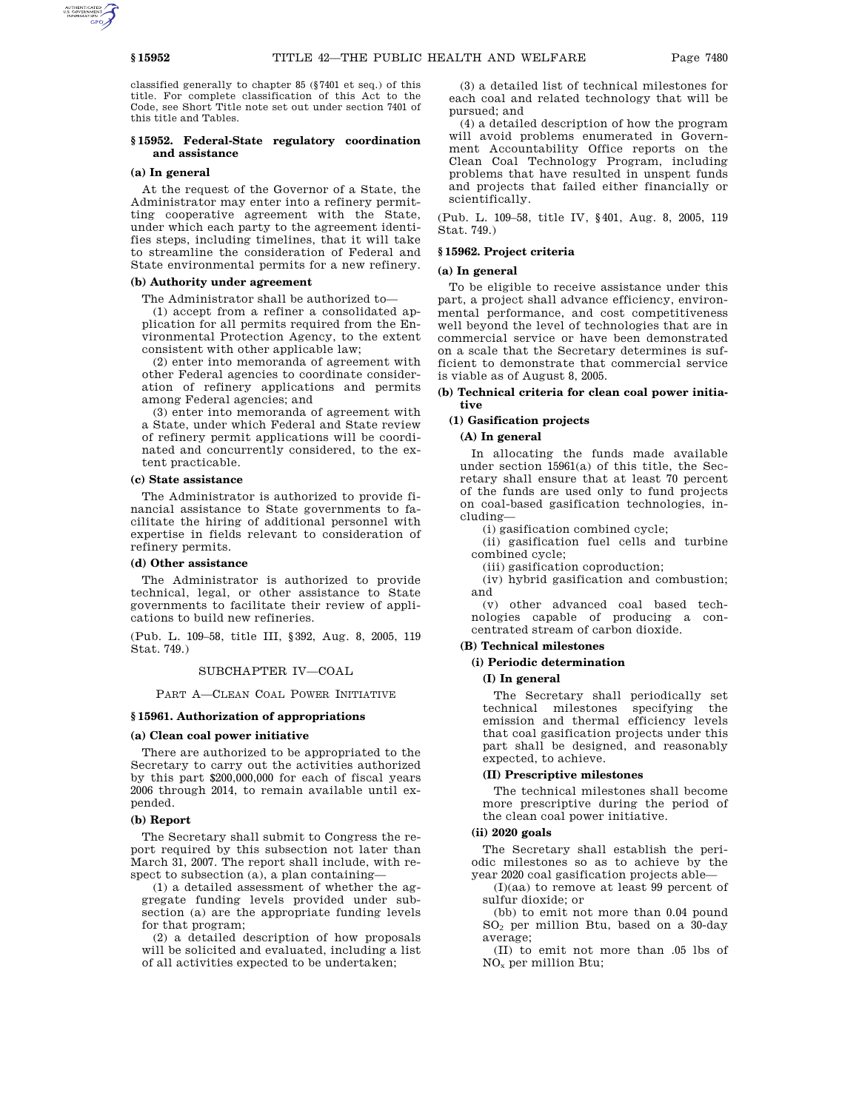classified generally to chapter 85 (§7401 et seq.) of this title. For complete classification of this Act to the Code, see Short Title note set out under section 7401 of this title and Tables.

### **§ 15952. Federal-State regulatory coordination and assistance**

### **(a) In general**

At the request of the Governor of a State, the Administrator may enter into a refinery permitting cooperative agreement with the State, under which each party to the agreement identifies steps, including timelines, that it will take to streamline the consideration of Federal and State environmental permits for a new refinery.

# **(b) Authority under agreement**

The Administrator shall be authorized to—

(1) accept from a refiner a consolidated application for all permits required from the Environmental Protection Agency, to the extent consistent with other applicable law;

(2) enter into memoranda of agreement with other Federal agencies to coordinate consideration of refinery applications and permits among Federal agencies; and

(3) enter into memoranda of agreement with a State, under which Federal and State review of refinery permit applications will be coordinated and concurrently considered, to the extent practicable.

### **(c) State assistance**

The Administrator is authorized to provide financial assistance to State governments to facilitate the hiring of additional personnel with expertise in fields relevant to consideration of refinery permits.

### **(d) Other assistance**

The Administrator is authorized to provide technical, legal, or other assistance to State governments to facilitate their review of applications to build new refineries.

(Pub. L. 109–58, title III, §392, Aug. 8, 2005, 119 Stat. 749.)

### SUBCHAPTER IV—COAL

PART A—CLEAN COAL POWER INITIATIVE

### **§ 15961. Authorization of appropriations**

### **(a) Clean coal power initiative**

There are authorized to be appropriated to the Secretary to carry out the activities authorized by this part \$200,000,000 for each of fiscal years 2006 through 2014, to remain available until expended.

#### **(b) Report**

The Secretary shall submit to Congress the report required by this subsection not later than March 31, 2007. The report shall include, with respect to subsection (a), a plan containing—

(1) a detailed assessment of whether the aggregate funding levels provided under subsection (a) are the appropriate funding levels for that program;

(2) a detailed description of how proposals will be solicited and evaluated, including a list of all activities expected to be undertaken;

(3) a detailed list of technical milestones for each coal and related technology that will be pursued; and

(4) a detailed description of how the program will avoid problems enumerated in Government Accountability Office reports on the Clean Coal Technology Program, including problems that have resulted in unspent funds and projects that failed either financially or scientifically.

(Pub. L. 109–58, title IV, §401, Aug. 8, 2005, 119 Stat. 749.)

### **§ 15962. Project criteria**

### **(a) In general**

To be eligible to receive assistance under this part, a project shall advance efficiency, environmental performance, and cost competitiveness well beyond the level of technologies that are in commercial service or have been demonstrated on a scale that the Secretary determines is sufficient to demonstrate that commercial service is viable as of August 8, 2005.

### **(b) Technical criteria for clean coal power initiative**

### **(1) Gasification projects**

### **(A) In general**

In allocating the funds made available under section 15961(a) of this title, the Secretary shall ensure that at least 70 percent of the funds are used only to fund projects on coal-based gasification technologies, including—

(i) gasification combined cycle;

(ii) gasification fuel cells and turbine combined cycle;

(iii) gasification coproduction;

(iv) hybrid gasification and combustion; and

(v) other advanced coal based technologies capable of producing a concentrated stream of carbon dioxide.

### **(B) Technical milestones**

### **(i) Periodic determination**

### **(I) In general**

The Secretary shall periodically set technical milestones specifying the emission and thermal efficiency levels that coal gasification projects under this part shall be designed, and reasonably expected, to achieve.

### **(II) Prescriptive milestones**

The technical milestones shall become more prescriptive during the period of the clean coal power initiative.

### **(ii) 2020 goals**

The Secretary shall establish the periodic milestones so as to achieve by the year 2020 coal gasification projects able—

(I)(aa) to remove at least 99 percent of sulfur dioxide; or

(bb) to emit not more than 0.04 pound SO2 per million Btu, based on a 30-day average;

(II) to emit not more than .05 lbs of NOx per million Btu;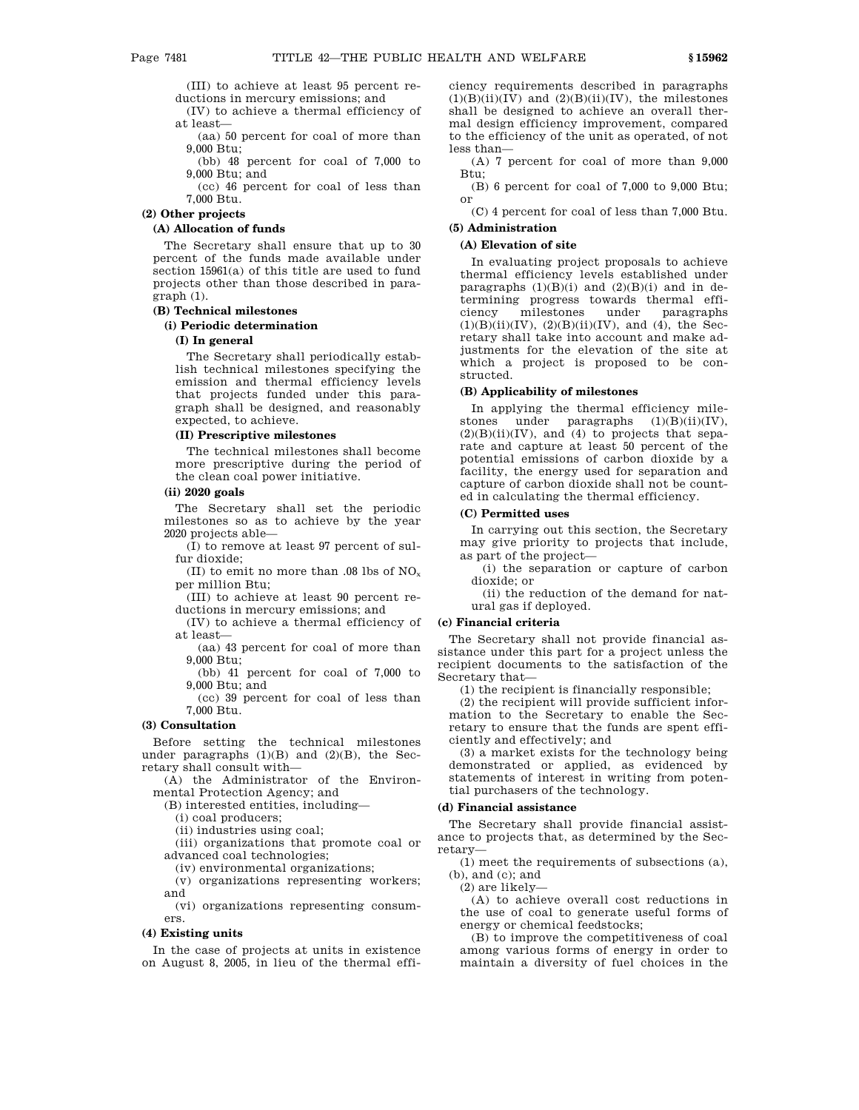(III) to achieve at least 95 percent reductions in mercury emissions; and

(IV) to achieve a thermal efficiency of at least—

(aa) 50 percent for coal of more than 9,000 Btu;

(bb) 48 percent for coal of 7,000 to 9,000 Btu; and

(cc) 46 percent for coal of less than 7,000 Btu.

# **(2) Other projects**

# **(A) Allocation of funds**

The Secretary shall ensure that up to 30 percent of the funds made available under section 15961(a) of this title are used to fund projects other than those described in paragraph (1).

### **(B) Technical milestones**

### **(i) Periodic determination**

### **(I) In general**

The Secretary shall periodically establish technical milestones specifying the emission and thermal efficiency levels that projects funded under this paragraph shall be designed, and reasonably expected, to achieve.

### **(II) Prescriptive milestones**

The technical milestones shall become more prescriptive during the period of the clean coal power initiative.

### **(ii) 2020 goals**

The Secretary shall set the periodic milestones so as to achieve by the year 2020 projects able—

(I) to remove at least 97 percent of sulfur dioxide;

(II) to emit no more than .08 lbs of  $NO<sub>x</sub>$ per million Btu;

(III) to achieve at least 90 percent reductions in mercury emissions; and

(IV) to achieve a thermal efficiency of at least—

(aa) 43 percent for coal of more than 9,000 Btu;

(bb) 41 percent for coal of 7,000 to 9,000 Btu; and

(cc) 39 percent for coal of less than 7,000 Btu.

### **(3) Consultation**

Before setting the technical milestones under paragraphs  $(1)(B)$  and  $(2)(B)$ , the Secretary shall consult with—

(A) the Administrator of the Environmental Protection Agency; and

(B) interested entities, including—

(i) coal producers;

(ii) industries using coal;

(iii) organizations that promote coal or advanced coal technologies;

(iv) environmental organizations;

(v) organizations representing workers; and

(vi) organizations representing consumers.

# **(4) Existing units**

In the case of projects at units in existence on August 8, 2005, in lieu of the thermal efficiency requirements described in paragraphs  $(1)(B)(ii)(IV)$  and  $(2)(B)(ii)(IV)$ , the milestones shall be designed to achieve an overall thermal design efficiency improvement, compared to the efficiency of the unit as operated, of not less than—

(A) 7 percent for coal of more than 9,000 Btu;

(B) 6 percent for coal of 7,000 to 9,000 Btu; or

(C) 4 percent for coal of less than 7,000 Btu. **(5) Administration**

### **(A) Elevation of site**

In evaluating project proposals to achieve thermal efficiency levels established under paragraphs  $(1)(B)(i)$  and  $(2)(B)(i)$  and in determining progress towards thermal efficiency milestones under paragraphs  $(1)(B)(ii)(IV), (2)(B)(ii)(IV), and (4), the Sec$ retary shall take into account and make adjustments for the elevation of the site at which a project is proposed to be constructed.

### **(B) Applicability of milestones**

In applying the thermal efficiency milestones under paragraphs  $(1)(B)(ii)(IV)$ ,  $(2)(B)(ii)(IV)$ , and  $(4)$  to projects that separate and capture at least 50 percent of the potential emissions of carbon dioxide by a facility, the energy used for separation and capture of carbon dioxide shall not be counted in calculating the thermal efficiency.

### **(C) Permitted uses**

In carrying out this section, the Secretary may give priority to projects that include, as part of the project—

(i) the separation or capture of carbon dioxide; or

(ii) the reduction of the demand for natural gas if deployed.

### **(c) Financial criteria**

The Secretary shall not provide financial assistance under this part for a project unless the recipient documents to the satisfaction of the Secretary that—

(1) the recipient is financially responsible;

(2) the recipient will provide sufficient information to the Secretary to enable the Secretary to ensure that the funds are spent efficiently and effectively; and

(3) a market exists for the technology being demonstrated or applied, as evidenced by statements of interest in writing from potential purchasers of the technology.

### **(d) Financial assistance**

The Secretary shall provide financial assistance to projects that, as determined by the Secretary—

(1) meet the requirements of subsections (a), (b), and (c); and

(2) are likely—

(A) to achieve overall cost reductions in the use of coal to generate useful forms of energy or chemical feedstocks;

(B) to improve the competitiveness of coal among various forms of energy in order to maintain a diversity of fuel choices in the